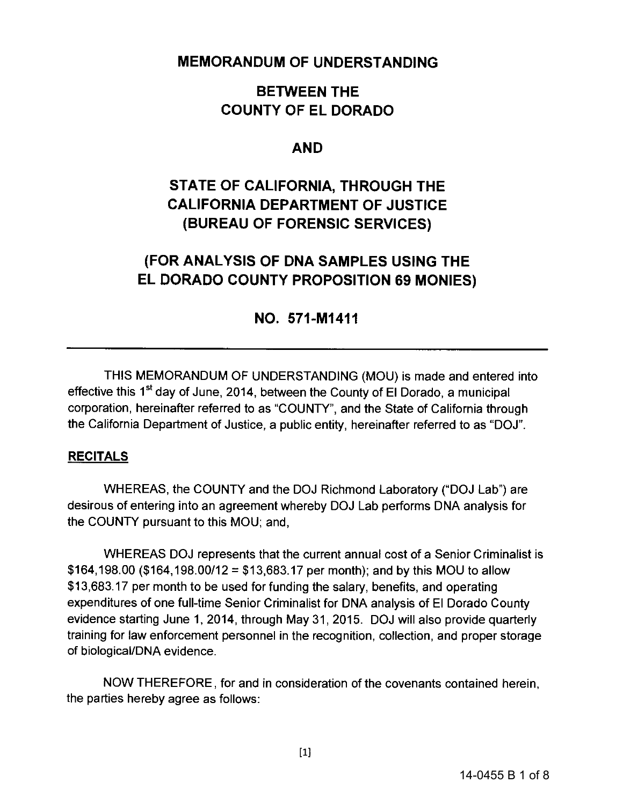## **MEMORANDUM OF UNDERSTANDING**

# **BETWEEN THE COUNTY OF EL DORADO**

## **AND**

# **STATE OF CALIFORNIA, THROUGH THE CALIFORNIA DEPARTMENT OF JUSTICE (BUREAU OF FORENSIC SERVICES)**

# **(FOR ANALYSIS OF DNA SAMPLES USING THE EL DORADO COUNTY PROPOSITION 69 MONIES)**

# **NO. 571-M1411**

THIS MEMORANDUM OF UNDERSTANDING (MOU) is made and entered into effective this  $1<sup>st</sup>$  day of June, 2014, between the County of El Dorado, a municipal corporation, hereinafter referred to as "COUNTY", and the State of California through the California Department of Justice, a public entity, hereinafter referred to as "DOJ".

#### **RECITALS**

WHEREAS, the COUNTY and the DOJ Richmond Laboratory ("DOJ Lab") are desirous of entering into an agreement whereby DOJ Lab performs DNA analysis for the COUNTY pursuant to this MOU; and,

WHEREAS DOJ represents that the current annual cost of a Senior Criminalist is \$164,198.00 (\$164,198.00/12 = \$13,683.17 per month); and by this MOU to allow \$13,683.17 per month to be used for funding the salary, benefits, and operating expenditures of one full-time Senior Criminalist for DNA analysis of El Dorado County evidence starting June 1, 2014, through May 31, 2015. DOJ will also provide quarterly training for law enforcement personnel in the recognition, collection, and proper storage of biological/DNA evidence.

NOW THEREFORE. for and in consideration of the covenants contained herein. the parties hereby agree as follows: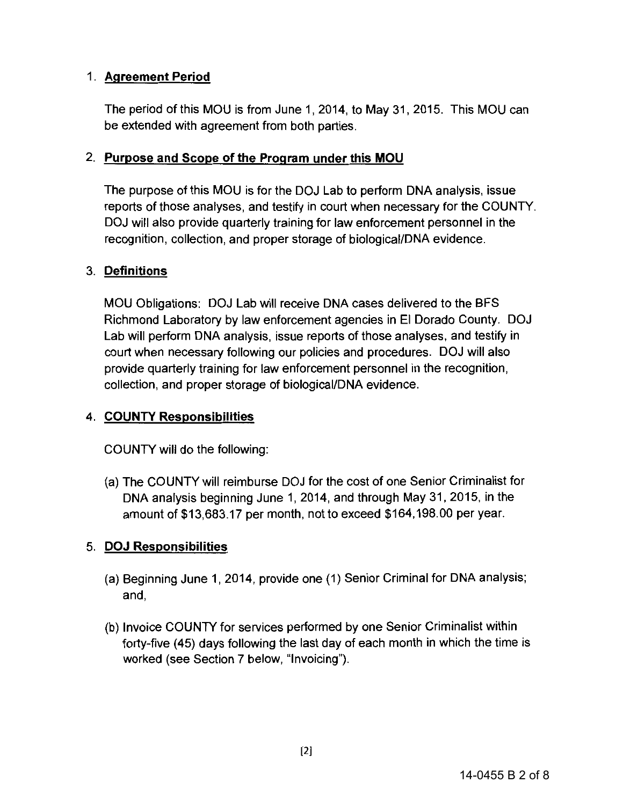### 1. **Agreement Period**

The period of this MOU is from June 1, 2014, to May 31, 2015. This MOU can be extended with agreement from both parties.

#### 2. **Purpose and Scope of the Program under this MOU**

The purpose of this MOU is for the DOJ Lab to perform DNA analysis, issue reports of those analyses, and testify in court when necessary for the COUNTY. DOJ will also provide quarterly training for law enforcement personnel in the recognition, collection, and proper storage of biological/DNA evidence.

#### 3. **Definitions**

MOU Obligations: DOJ Lab will receive DNA cases delivered to the BFS Richmond Laboratory by law enforcement agencies in El Dorado County. DOJ Lab will perform DNA analysis, issue reports of those analyses, and testify in court when necessary following our policies and procedures. DOJ will also provide quarterly training for law enforcement personnel in the recognition, collection, and proper storage of biological/DNA evidence.

#### **4. COUNTY Responsibilities**

COUNTY will do the following:

(a) The COUNTY will reimburse DOJ for the cost of one Senior Criminalist for DNA analysis beginning June 1, 2014, and through May 31,2015, in the amount of \$13,683.17 per month, not to exceed \$164,198.00 per year.

#### 5. **DOJ Responsibilities**

- (a) Beginning June 1, 2014, provide one (1) Senior Criminal for DNA analysis; and,
- (b) Invoice COUNTY for services performed by one Senior Criminalist within forty-five (45) days following the last day of each month in which the time is worked (see Section 7 below, "Invoicing").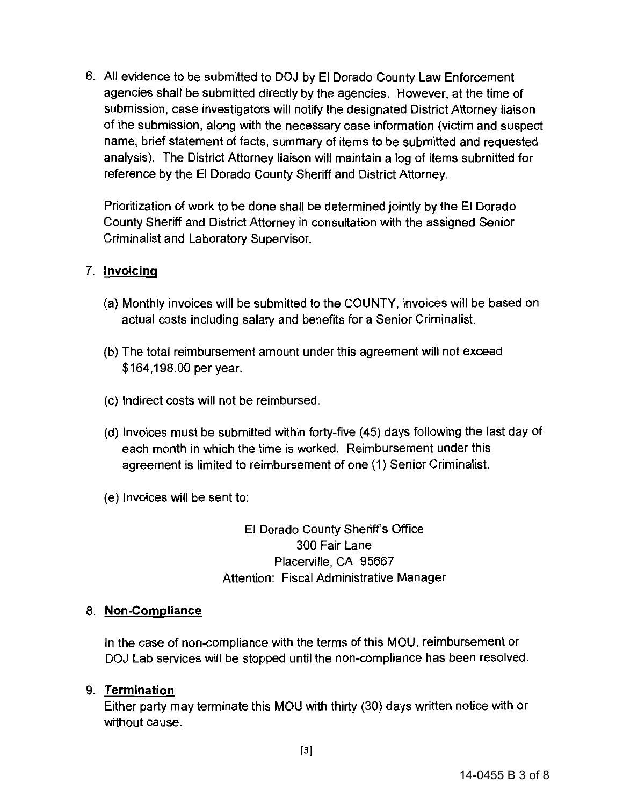6. All evidence to be submitted to DOJ by El Dorado County Law Enforcement agencies shall be submitted directly by the agencies. However, at the time of submission, case investigators will notify the designated District Attorney liaison of the submission, along with the necessary case information (victim and suspect name, brief statement of facts, summary of items to be submitted and requested analysis). The District Attorney liaison will maintain a log of items submitted for reference by the El Dorado County Sheriff and District Attorney.

Prioritization of work to be done shall be determined jointly by the El Dorado County Sheriff and District Attorney in consultation with the assigned Senior Criminalist and Laboratory Supervisor.

#### 7. **Invoicing**

- (a) Monthly invoices will be submitted to the COUNTY, invoices will be based on actual costs including salary and benefits for a Senior Criminalist.
- (b) The total reimbursement amount under this agreement will not exceed \$164,198.00 per year.
- (c) Indirect costs will not be reimbursed.
- (d) Invoices must be submitted within forty-five (45) days following the last day of each month in which the time is worked. Reimbursement under this agreement is limited to reimbursement of one (1) Senior Criminalist.
- (e) Invoices will be sent to:

El Dorado County Sheriff's Office 300 Fair Lane Placerville, CA 95667 Attention: Fiscal Administrative Manager

#### 8. **Non-Compliance**

In the case of non-compliance with the terms of this MOU, reimbursement or DOJ Lab services will be stopped until the non-compliance has been resolved.

#### 9. **Termination**

Either party may terminate this MOU with thirty (30) days written notice with or without cause.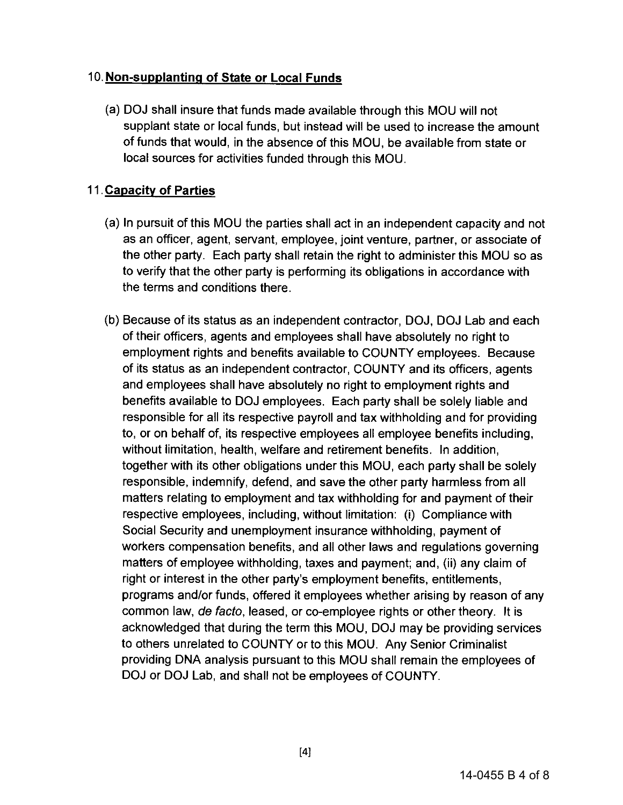#### 10. **Non-supplanting of State or Local Funds**

(a) DOJ shall insure that funds made available through this MOU will not supplant state or local funds, but instead will be used to increase the amount of funds that would, in the absence of this MOU, be available from state or local sources for activities funded through this MOU.

### 11 . **Capacity of Parties**

- (a) In pursuit of this MOU the parties shall act in an independent capacity and not as an officer, agent, servant, employee, joint venture, partner, or associate of the other party. Each party shall retain the right to administer this MOU so as to verify that the other party is performing its obligations in accordance with the terms and conditions there.
- (b) Because of its status as an independent contractor, DOJ, DOJ Lab and each of their officers, agents and employees shall have absolutely no right to employment rights and benefits available to COUNTY employees. Because of its status as an independent contractor, COUNTY and its officers, agents and employees shall have absolutely no right to employment rights and benefits available to DOJ employees. Each party shall be solely liable and responsible for all its respective payroll and tax withholding and for providing to, or on behalf of, its respective employees all employee benefits including, without limitation, health, welfare and retirement benefits. In addition, together with its other obligations under this MOU, each party shall be solely responsible, indemnify, defend, and save the other party harmless from all matters relating to employment and tax withholding for and payment of their respective employees, including, without limitation: (i) Compliance with Social Security and unemployment insurance withholding, payment of workers compensation benefits, and all other laws and regulations governing matters of employee withholding, taxes and payment; and, (ii) any claim of right or interest in the other party's employment benefits, entitlements, programs and/or funds, offered it employees whether arising by reason of any common law, de facto, leased, or co-employee rights or other theory. It is acknowledged that during the term this MOU, DOJ may be providing services to others unrelated to COUNTY or to this MOU. Any Senior Criminalist providing DNA analysis pursuant to this MOU shall remain the employees of DOJ or DOJ Lab, and shall not be employees of COUNTY.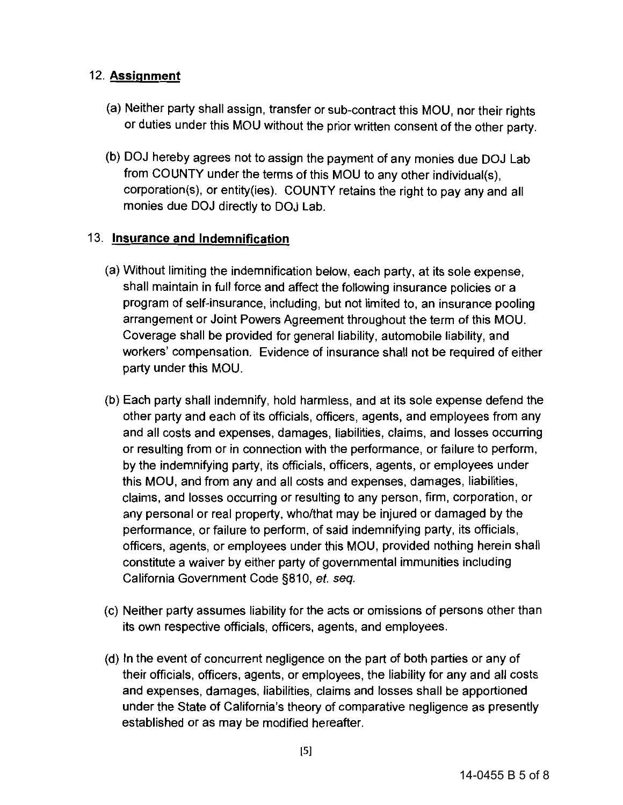### 12. **Assignment**

- (a) Neither party shall assign, transfer or sub-contract this MOU, nor their rights or duties under this MOU without the prior written consent of the other party.
- (b) DOJ hereby agrees not to assign the payment of any monies due DOJ Lab from COUNTY under the terms of this MOU to any other individual(s), corporation(s), or entity(ies). COUNTY retains the right to pay any and all monies due DOJ directly to DOJ Lab.

### 13. **Insurance and Indemnification**

- (a) Without limiting the indemnification below, each party, at its sole expense, shall maintain in full force and affect the following insurance policies or a program of self-insurance, including, but not limited to, an insurance pooling arrangement or Joint Powers Agreement throughout the term of this MOU. Coverage shall be provided for general liability, automobile liability, and workers' compensation. Evidence of insurance shall not be required of either party under this MOU.
- (b) Each party shall indemnify, hold harmless, and at its sole expense defend the other party and each of its officials, officers, agents, and employees from any and all costs and expenses, damages, liabilities, claims, and losses occurring or resulting from or in connection with the performance, or failure to perform, by the indemnifying party, its officials, officers, agents, or employees under this MOU, and from any and all costs and expenses, damages, liabilities, claims, and losses occurring or resulting to any person, firm, corporation, or any personal or real property, who/that may be injured or damaged by the performance, or failure to perform, of said indemnifying party, its officials, officers, agents, or employees under this MOU, provided nothing herein shall constitute a waiver by either party of governmental immunities including California Government Code §810, *et. seq.*
- (c) Neither party assumes liability for the acts or omissions of persons other than its own respective officials, officers, agents, and employees.
- (d) In the event of concurrent negligence on the part of both parties or any of their officials, officers, agents, or employees, the liability for any and all costs and expenses, damages, liabilities, claims and losses shall be apportioned under the State of California's theory of comparative negligence as presently established or as may be modified hereafter.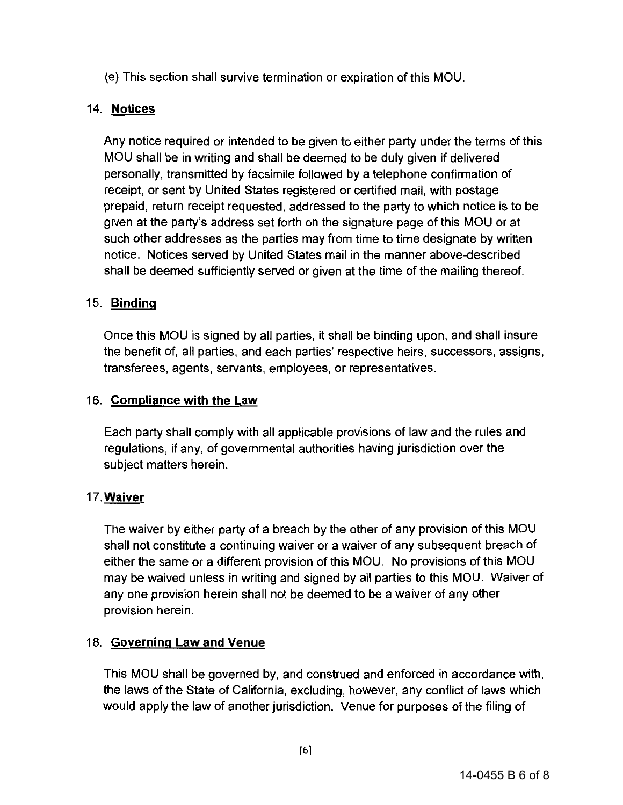(e) This section shall survive termination or expiration of this MOU.

### 14. **Notices**

Any notice required or intended to be given to either party under the terms of this MOU shall be in writing and shall be deemed to be duly given if delivered personally, transmitted by facsimile followed by a telephone confirmation of receipt, or sent by United States registered or certified mail, with postage prepaid, return receipt requested, addressed to the party to which notice is to be given at the party's address set forth on the signature page of this MOU or at such other addresses as the parties may from time to time designate by written notice. Notices served by United States mail in the manner above-described shall be deemed sufficiently served or given at the time of the mailing thereof.

### 15. **Binding**

Once this MOU is signed by all parties, it shall be binding upon, and shall insure the benefit of, all parties, and each parties' respective heirs, successors, assigns, transferees, agents, servants, employees, or representatives.

#### 16. **Compliance with the Law**

Each party shall comply with all applicable provisions of law and the rules and regulations, if any, of governmental authorities having jurisdiction over the subject matters herein.

#### **17.Waiver**

The waiver by either party of a breach by the other of any provision of this MOU shall not constitute a continuing waiver or a waiver of any subsequent breach of either the same or a different provision of this MOU. No provisions of this MOU may be waived unless in writing and signed by all parties to this MOU. Waiver of any one provision herein shall not be deemed to be a waiver of any other provision herein.

#### 18. **Governing Law and Venue**

This MOU shall be governed by, and construed and enforced in accordance with, the laws of the State of California, excluding, however, any conflict of laws which would apply the law of another jurisdiction. Venue for purposes of the filing of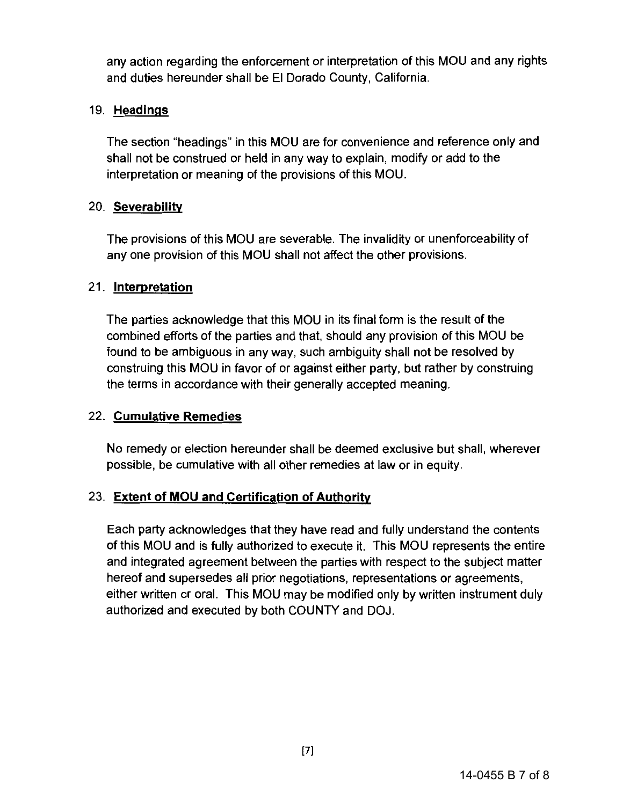any action regarding the enforcement or interpretation of this MOU and any rights and duties hereunder shall be El Dorado County, California.

#### 19. **Headings**

The section "headings" in this MOU are for convenience and reference only and shall not be construed or held in any way to explain, modify or add to the interpretation or meaning of the provisions of this MOU.

#### 20. **Severability**

The provisions of this MOU are severable. The invalidity or unenforceability of any one provision of this MOU shall not affect the other provisions.

#### 21. **Interpretation**

The parties acknowledge that this MOU in its final form is the result of the combined efforts of the parties and that, should any provision of this MOU be found to be ambiguous in any way, such ambiguity shall not be resolved by construing this MOU in favor of or against either party, but rather by construing the terms in accordance with their generally accepted meaning.

#### 22. **Cumulative Remedies**

No remedy or election hereunder shall be deemed exclusive but shall, wherever possible, be cumulative with all other remedies at law or in equity.

#### 23. **Extent of MOU and Certification of Authority**

Each party acknowledges that they have read and fully understand the contents of this MOU and is fully authorized to execute it. This MOU represents the entire and integrated agreement between the parties with respect to the subject matter hereof and supersedes all prior negotiations, representations or agreements, either written or oral. This MOU may be modified only by written instrument duly authorized and executed by both COUNTY and DOJ.